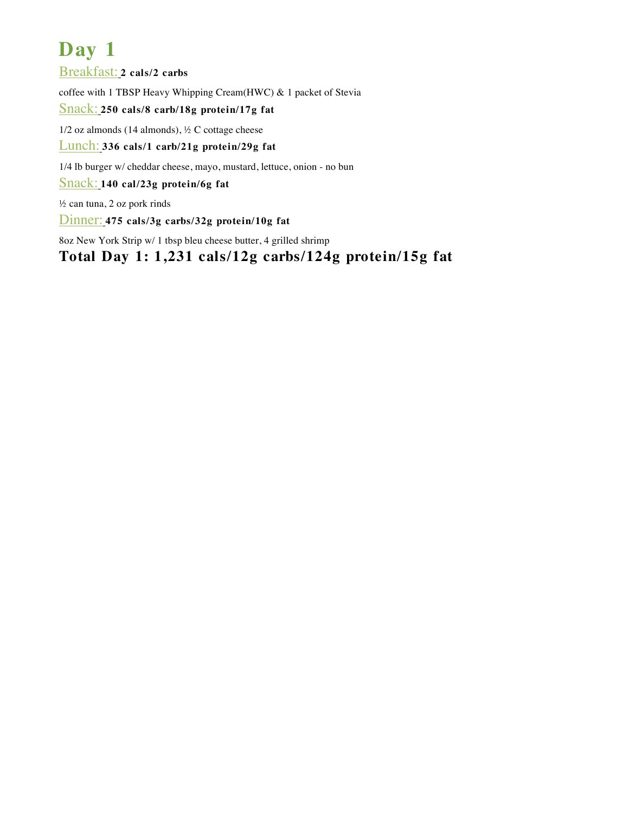Breakfast: **2 cals/2 carbs**

coffee with 1 TBSP Heavy Whipping Cream(HWC) & 1 packet of Stevia

#### Snack: **250 cals/8 carb/18g protein/17g fat**

 $1/2$  oz almonds (14 almonds),  $\frac{1}{2}$  C cottage cheese

Lunch: **336 cals/1 carb/21g protein/29g fat**

1/4 lb burger w/ cheddar cheese, mayo, mustard, lettuce, onion - no bun

Snack: **140 cal/23g protein/6g fat**

½ can tuna, 2 oz pork rinds

Dinner: **475 cals/3g carbs/32g protein/10g fat**

8oz New York Strip w/ 1 tbsp bleu cheese butter, 4 grilled shrimp

**Total Day 1: 1,231 cals/12g carbs/124g protein/15g fat**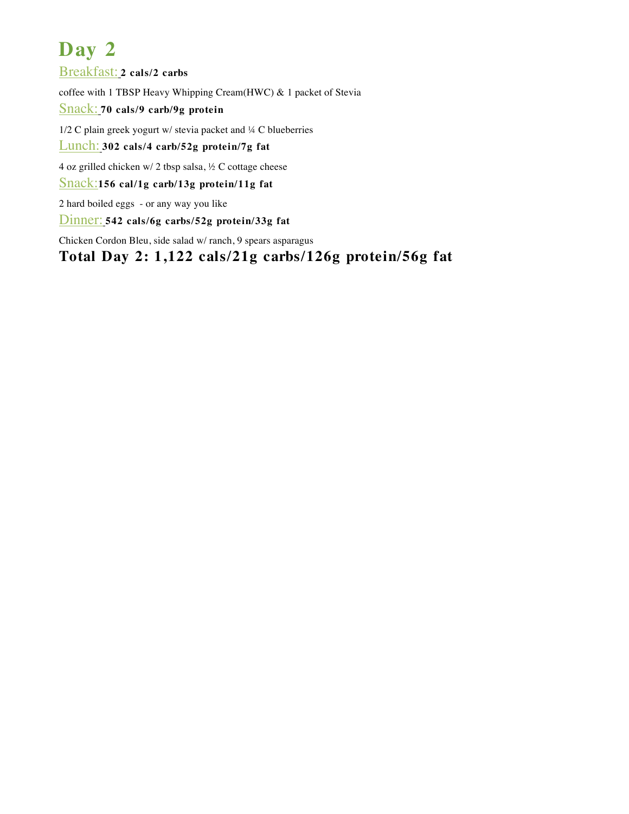Breakfast: **2 cals/2 carbs**

coffee with 1 TBSP Heavy Whipping Cream(HWC) & 1 packet of Stevia

Snack: **70 cals/9 carb/9g protein**

1/2 C plain greek yogurt w/ stevia packet and ¼ C blueberries

Lunch: **302 cals/4 carb/52g protein/7g fat**

4 oz grilled chicken w/ 2 tbsp salsa,  $\frac{1}{2}$  C cottage cheese

Snack:**156 cal/1g carb/13g protein/11g fat**

2 hard boiled eggs - or any way you like

Dinner: **542 cals/6g carbs/52g protein/33g fat**

Chicken Cordon Bleu, side salad w/ ranch, 9 spears asparagus

**Total Day 2: 1,122 cals/21g carbs/126g protein/56g fat**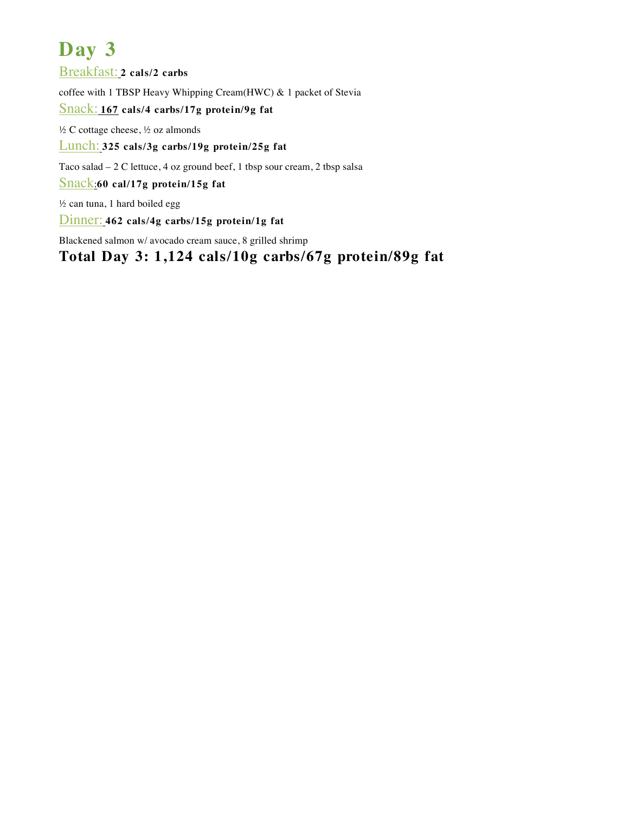Breakfast: **2 cals/2 carbs**

coffee with 1 TBSP Heavy Whipping Cream(HWC) & 1 packet of Stevia

### Snack: **167 cals/4 carbs/17g protein/9g fat**

½ C cottage cheese, ½ oz almonds

Lunch: **325 cals/3g carbs/19g protein/25g fat**

Taco salad – 2 C lettuce, 4 oz ground beef, 1 tbsp sour cream, 2 tbsp salsa

Snack:**60 cal/17g protein/15g fat**

½ can tuna, 1 hard boiled egg

Dinner: **462 cals/4g carbs/15g protein/1g fat**

Blackened salmon w/ avocado cream sauce, 8 grilled shrimp

**Total Day 3: 1,124 cals/10g carbs/67g protein/89g fat**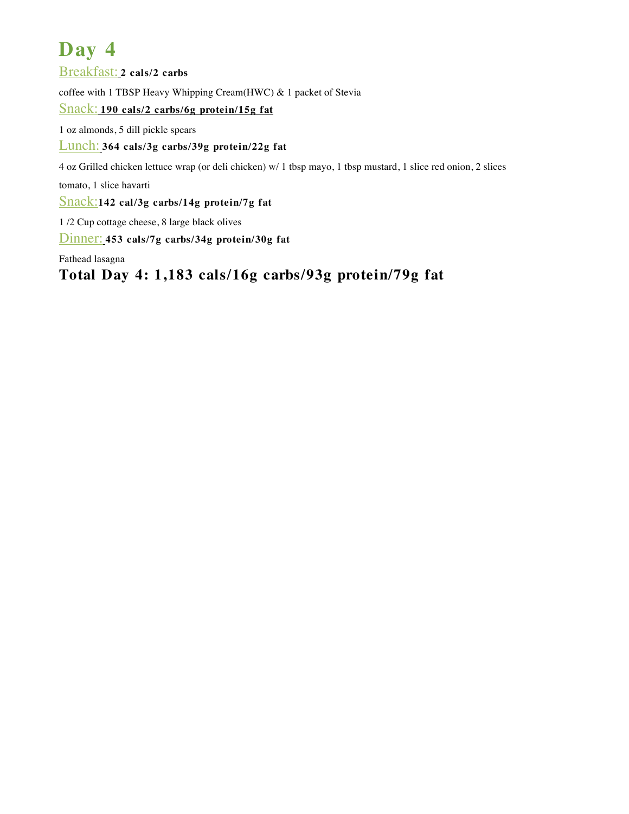Breakfast: **2 cals/2 carbs**

coffee with 1 TBSP Heavy Whipping Cream(HWC) & 1 packet of Stevia

#### Snack: **190 cals/2 carbs/6g protein/15g fat**

1 oz almonds, 5 dill pickle spears

### Lunch: **364 cals/3g carbs/39g protein/22g fat**

4 oz Grilled chicken lettuce wrap (or deli chicken) w/ 1 tbsp mayo, 1 tbsp mustard, 1 slice red onion, 2 slices

tomato, 1 slice havarti

Snack:**142 cal/3g carbs/14g protein/7g fat**

1 /2 Cup cottage cheese, 8 large black olives

Dinner: **453 cals/7g carbs/34g protein/30g fat**

Fathead lasagna

**Total Day 4: 1,183 cals/16g carbs/93g protein/79g fat**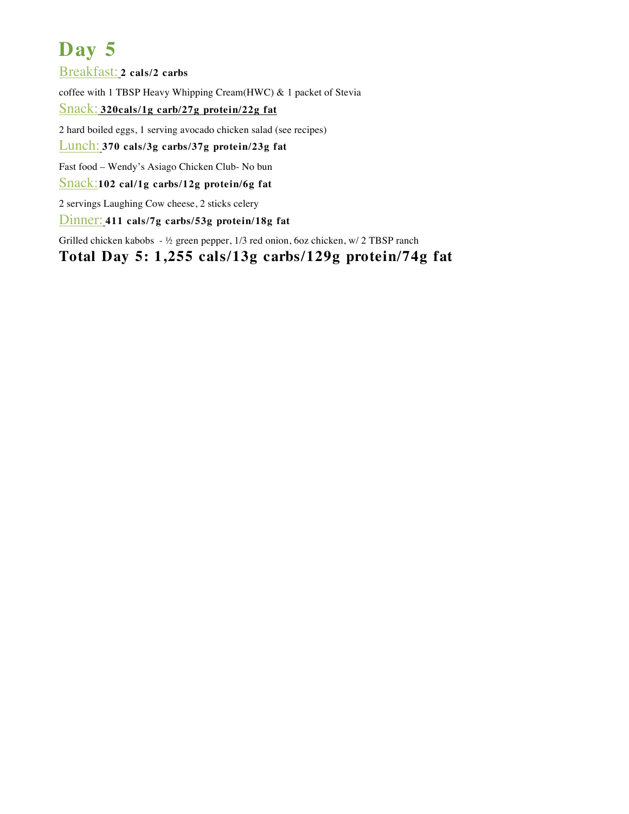Breakfast: **2 cals/2 carbs**

coffee with 1 TBSP Heavy Whipping Cream(HWC) & 1 packet of Stevia

#### Snack: **320cals/1g carb/27g protein/22g fat**

2 hard boiled eggs, 1 serving avocado chicken salad (see recipes)

### Lunch: **370 cals/3g carbs/37g protein/23g fat**

Fast food – Wendy's Asiago Chicken Club- No bun

Snack:**102 cal/1g carbs/12g protein/6g fat**

2 servings Laughing Cow cheese, 2 sticks celery

Dinner: **411 cals/7g carbs/53g protein/18g fat**

Grilled chicken kabobs - ½ green pepper, 1/3 red onion, 6oz chicken, w/ 2 TBSP ranch

### **Total Day 5: 1,255 cals/13g carbs/129g protein/74g fat**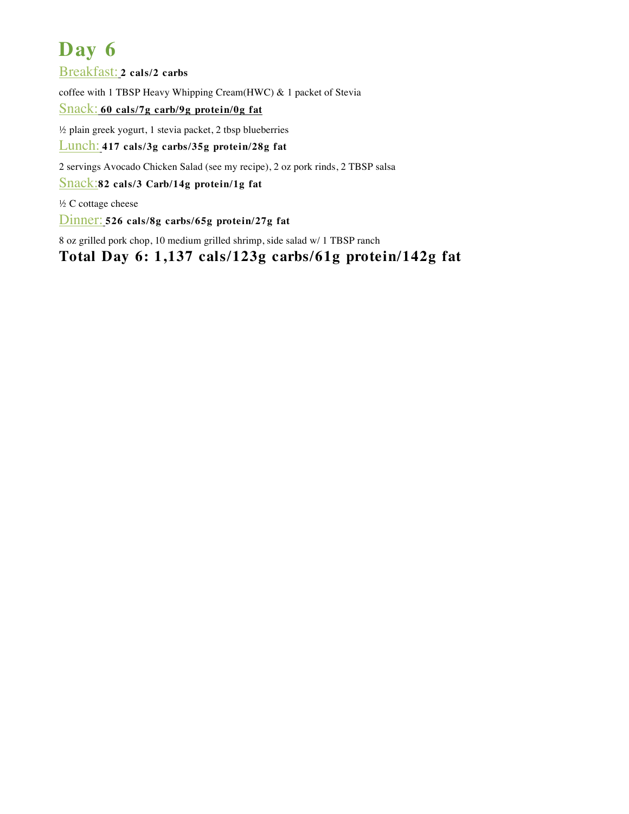Breakfast: **2 cals/2 carbs**

coffee with 1 TBSP Heavy Whipping Cream(HWC) & 1 packet of Stevia

Snack: **60 cals/7g carb/9g protein/0g fat**

½ plain greek yogurt, 1 stevia packet, 2 tbsp blueberries

Lunch: **417 cals/3g carbs/35g protein/28g fat**

2 servings Avocado Chicken Salad (see my recipe), 2 oz pork rinds, 2 TBSP salsa

Snack:**82 cals/3 Carb/14g protein/1g fat**

½ C cottage cheese

Dinner: **526 cals/8g carbs/65g protein/27g fat**

8 oz grilled pork chop, 10 medium grilled shrimp, side salad w/ 1 TBSP ranch

**Total Day 6: 1,137 cals/123g carbs/61g protein/142g fat**